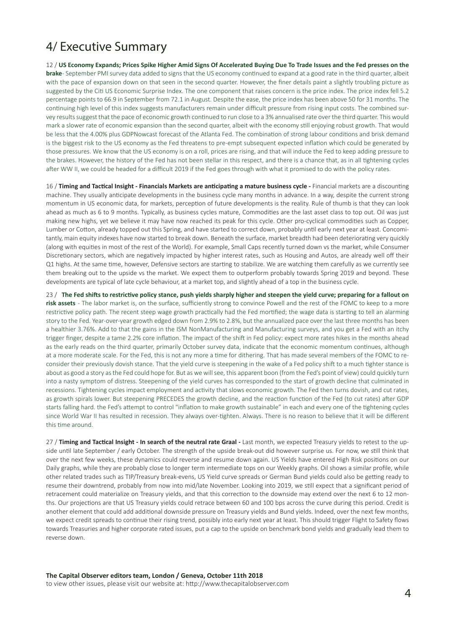## 4/ Executive Summary

12 / **US Economy Expands; Prices Spike Higher Amid Signs Of Accelerated Buying Due To Trade Issues and the Fed presses on the brake** - September PMI survey data added to signs that the US economy continued to expand at a good rate in the third quarter, albeit with the pace of expansion down on that seen in the second quarter. However, the finer details paint a slightly troubling picture as suggested by the Citi US Economic Surprise Index. The one component that raises concern is the price index. The price index fell 5.2 percentage points to 66.9 in September from 72.1 in August. Despite the ease, the price index has been above 50 for 31 months. The continuing high level of this index suggests manufacturers remain under difficult pressure from rising input costs. The combined survey results suggest that the pace of economic growth continued to run close to a 3% annualised rate over the third quarter. This would mark a slower rate of economic expansion than the second quarter, albeit with the economy still enjoying robust growth. That would be less that the 4.00% plus GDPNowcast forecast of the Atlanta Fed. The combination of strong labour conditions and brisk demand is the biggest risk to the US economy as the Fed threatens to pre-empt subsequent expected inflation which could be generated by those pressures. We know that the US economy is on a roll, prices are rising, and that will induce the Fed to keep adding pressure to the brakes. However, the history of the Fed has not been stellar in this respect, and there is a chance that, as in all tightening cycles after WW II, we could be headed for a difficult 2019 if the Fed goes through with what it promised to do with the policy rates.

16 / **Timing and Tactical Insight - Financials Markets are anticipating a mature business cycle -** Financial markets are a discounting machine. They usually anticipate developments in the business cycle many months in advance. In a way, despite the current strong momentum in US economic data, for markets, perception of future developments is the reality. Rule of thumb is that they can look ahead as much as 6 to 9 months. Typically, as business cycles mature, Commodities are the last asset class to top out. Oil was just making new highs, yet we believe it may have now reached its peak for this cycle. Other pro-cyclical commodities such as Copper, Lumber or Cotton, already topped out this Spring, and have started to correct down, probably until early next year at least. Concomitantly, main equity indexes have now started to break down. Beneath the surface, market breadth had been deteriorating very quickly (along with equities in most of the rest of the World). For example, Small Caps recently turned down vs the market, while Consumer Discretionary sectors, which are negatively impacted by higher interest rates, such as Housing and Autos, are already well off their Q1 highs. At the same time, however, Defensive sectors are starting to stabilize. We are watching them carefully as we currently see them breaking out to the upside vs the market. We expect them to outperform probably towards Spring 2019 and beyond. These developments are typical of late cycle behaviour, at a market top, and slightly ahead of a top in the business cycle.

23 / **The Fed shifts to restrictive policy stance, push yields sharply higher and steepen the yield curve; preparing for a fallout on risk assets** - The labor market is, on the surface, sufficiently strong to convince Powell and the rest of the FOMC to keep to a more restrictive policy path. The recent steep wage growth practically had the Fed mortified; the wage data is starting to tell an alarming story to the Fed. Year-over-year growth edged down from 2.9% to 2.8%, but the annualized pace over the last three months has been a healthier 3.76%. Add to that the gains in the ISM NonManufacturing and Manufacturing surveys, and you get a Fed with an itchy trigger finger, despite a tame 2.2% core inflation. The impact of the shift in Fed policy: expect more rates hikes in the months ahead as the early reads on the third quarter, primarily October survey data, indicate that the economic momentum continues, although at a more moderate scale. For the Fed, this is not any more a time for dithering. That has made several members of the FOMC to reconsider their previously dovish stance. That the yield curve is steepening in the wake of a Fed policy shift to a much tighter stance is about as good a story as the Fed could hope for. But as we will see, this apparent boon (from the Fed's point of view) could quickly turn into a nasty symptom of distress. Steepening of the yield curves has corresponded to the start of growth decline that culminated in recessions. Tightening cycles impact employment and activity that slows economic growth. The Fed then turns dovish, and cut rates, as growth spirals lower. But steepening PRECEDES the growth decline, and the reaction function of the Fed (to cut rates) after GDP starts falling hard. the Fed's attempt to control "inflation to make growth sustainable" in each and every one of the tightening cycles since World War II has resulted in recession. They always over-tighten. Always. There is no reason to believe that it will be different this time around.

27 / Timing and Tactical Insight - In search of the neutral rate Graal - Last month, we expected Treasury yields to retest to the upside until late September / early October. The strength of the upside break-out did however surprise us. For now, we still think that over the next few weeks, these dynamics could reverse and resume down again. US Yields have entered High Risk positions on our Daily graphs, while they are probably close to longer term intermediate tops on our Weekly graphs. Oil shows a similar profile, while other related trades such as TIP/Treasury break-evens, US Yield curve spreads or German Bund yields could also be getting ready to resume their downtrend, probably from now into mid/late November. Looking into 2019, we still expect that a significant period of retracement could materialize on Treasury yields, and that this correction to the downside may extend over the next 6 to 12 months. Our projections are that US Treasury yields could retrace between 60 and 100 bps across the curve during this period. Credit is another element that could add additional downside pressure on Treasury yields and Bund yields. Indeed, over the next few months, we expect credit spreads to continue their rising trend, possibly into early next year at least. This should trigger Flight to Safety flows towards Treasuries and higher corporate rated issues, put a cap to the upside on benchmark bond yields and gradually lead them to reverse down.